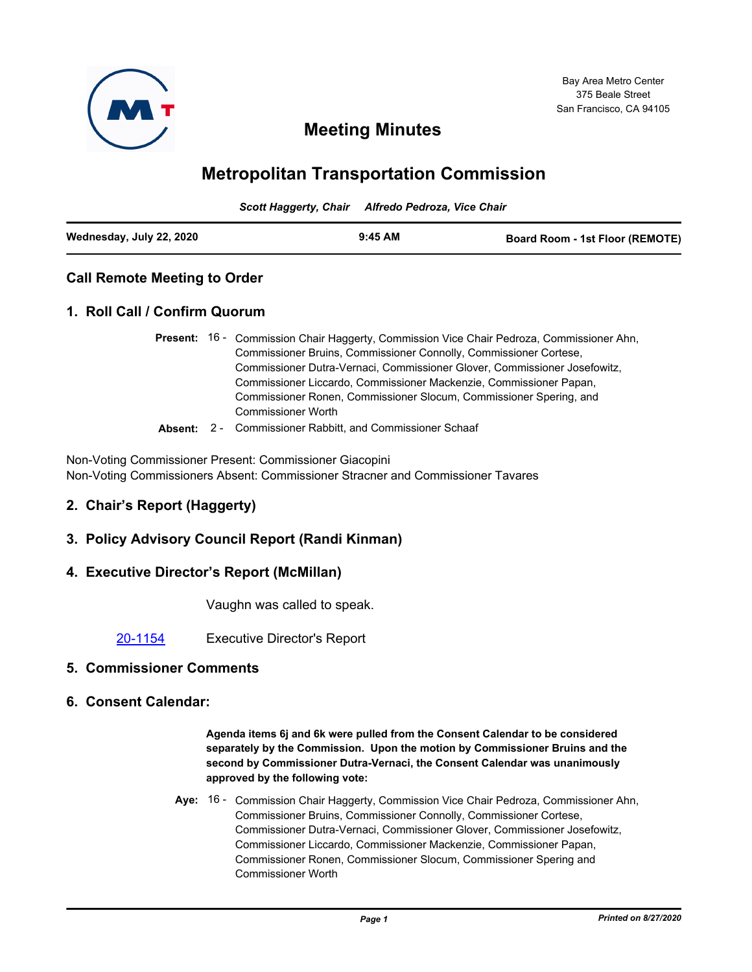

# **Meeting Minutes**

# **Metropolitan Transportation Commission**

*Scott Haggerty, Chair Alfredo Pedroza, Vice Chair*

| Wednesday, July 22, 2020<br>$9:45$ AM<br><b>Board Room - 1st Floor (REMOTE)</b> |
|---------------------------------------------------------------------------------|
|---------------------------------------------------------------------------------|

# **Call Remote Meeting to Order**

# **1. Roll Call / Confirm Quorum**

- Present: 16 Commission Chair Haggerty, Commission Vice Chair Pedroza, Commissioner Ahn, Commissioner Bruins, Commissioner Connolly, Commissioner Cortese, Commissioner Dutra-Vernaci, Commissioner Glover, Commissioner Josefowitz, Commissioner Liccardo, Commissioner Mackenzie, Commissioner Papan, Commissioner Ronen, Commissioner Slocum, Commissioner Spering, and Commissioner Worth
- **Absent:** 2 Commissioner Rabbitt, and Commissioner Schaaf

Non-Voting Commissioner Present: Commissioner Giacopini Non-Voting Commissioners Absent: Commissioner Stracner and Commissioner Tavares

# **2. Chair's Report (Haggerty)**

- **3. Policy Advisory Council Report (Randi Kinman)**
- **4. Executive Director's Report (McMillan)**

Vaughn was called to speak.

[20-1154](http://mtc.legistar.com/gateway.aspx?m=l&id=/matter.aspx?key=21019) Executive Director's Report

## **5. Commissioner Comments**

**6. Consent Calendar:**

**Agenda items 6j and 6k were pulled from the Consent Calendar to be considered separately by the Commission. Upon the motion by Commissioner Bruins and the second by Commissioner Dutra-Vernaci, the Consent Calendar was unanimously approved by the following vote:**

Aye: 16 - Commission Chair Haggerty, Commission Vice Chair Pedroza, Commissioner Ahn, Commissioner Bruins, Commissioner Connolly, Commissioner Cortese, Commissioner Dutra-Vernaci, Commissioner Glover, Commissioner Josefowitz, Commissioner Liccardo, Commissioner Mackenzie, Commissioner Papan, Commissioner Ronen, Commissioner Slocum, Commissioner Spering and Commissioner Worth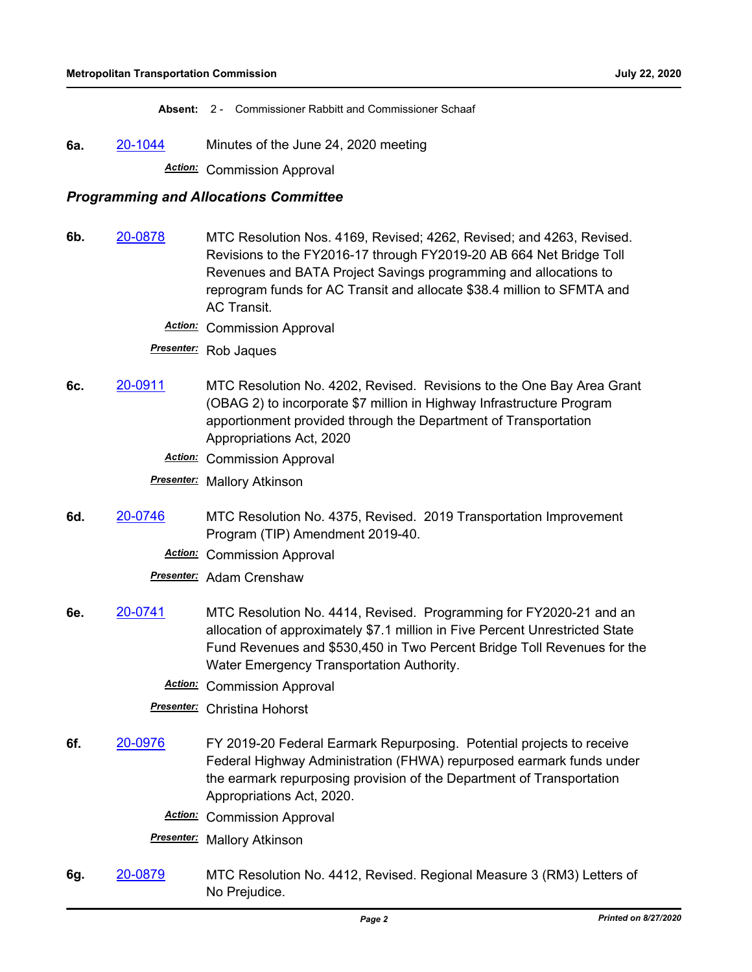**Absent:** 2 - Commissioner Rabbitt and Commissioner Schaaf

**6a.** [20-1044](http://mtc.legistar.com/gateway.aspx?m=l&id=/matter.aspx?key=20908) Minutes of the June 24, 2020 meeting *Action:* Commission Approval

## *Programming and Allocations Committee*

- **6b.** [20-0878](http://mtc.legistar.com/gateway.aspx?m=l&id=/matter.aspx?key=20742) MTC Resolution Nos. 4169, Revised; 4262, Revised; and 4263, Revised. Revisions to the FY2016-17 through FY2019-20 AB 664 Net Bridge Toll Revenues and BATA Project Savings programming and allocations to reprogram funds for AC Transit and allocate \$38.4 million to SFMTA and AC Transit.
	- *Action:* Commission Approval
	- *Presenter:* Rob Jaques
- **6c.** [20-0911](http://mtc.legistar.com/gateway.aspx?m=l&id=/matter.aspx?key=20775) MTC Resolution No. 4202, Revised. Revisions to the One Bay Area Grant (OBAG 2) to incorporate \$7 million in Highway Infrastructure Program apportionment provided through the Department of Transportation Appropriations Act, 2020
	- *Action:* Commission Approval

*Presenter:* Mallory Atkinson

- **6d.** [20-0746](http://mtc.legistar.com/gateway.aspx?m=l&id=/matter.aspx?key=20610) MTC Resolution No. 4375, Revised. 2019 Transportation Improvement Program (TIP) Amendment 2019-40.
	- *Action:* Commission Approval

*Presenter:* Adam Crenshaw

- **6e.** [20-0741](http://mtc.legistar.com/gateway.aspx?m=l&id=/matter.aspx?key=20605) MTC Resolution No. 4414, Revised. Programming for FY2020-21 and an allocation of approximately \$7.1 million in Five Percent Unrestricted State Fund Revenues and \$530,450 in Two Percent Bridge Toll Revenues for the Water Emergency Transportation Authority.
	- *Action:* Commission Approval

*Presenter:* Christina Hohorst

- **6f.** [20-0976](http://mtc.legistar.com/gateway.aspx?m=l&id=/matter.aspx?key=20840) FY 2019-20 Federal Earmark Repurposing. Potential projects to receive Federal Highway Administration (FHWA) repurposed earmark funds under the earmark repurposing provision of the Department of Transportation Appropriations Act, 2020.
	- *Action:* Commission Approval

*Presenter:* Mallory Atkinson

**6g.** [20-0879](http://mtc.legistar.com/gateway.aspx?m=l&id=/matter.aspx?key=20743) MTC Resolution No. 4412, Revised. Regional Measure 3 (RM3) Letters of No Prejudice.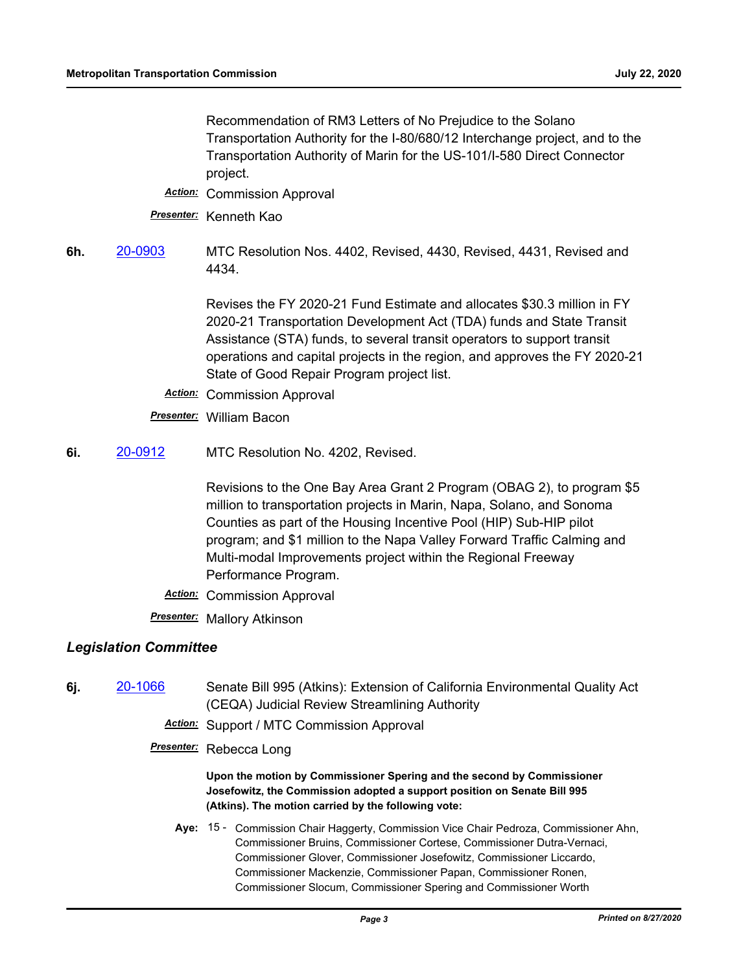Recommendation of RM3 Letters of No Prejudice to the Solano Transportation Authority for the I-80/680/12 Interchange project, and to the Transportation Authority of Marin for the US-101/I-580 Direct Connector project.

- *Action:* Commission Approval
- *Presenter:* Kenneth Kao
- **6h.** [20-0903](http://mtc.legistar.com/gateway.aspx?m=l&id=/matter.aspx?key=20767) MTC Resolution Nos. 4402, Revised, 4430, Revised, 4431, Revised and 4434.

Revises the FY 2020-21 Fund Estimate and allocates \$30.3 million in FY 2020-21 Transportation Development Act (TDA) funds and State Transit Assistance (STA) funds, to several transit operators to support transit operations and capital projects in the region, and approves the FY 2020-21 State of Good Repair Program project list.

- *Action:* Commission Approval
- *Presenter:* William Bacon
- **6i.** [20-0912](http://mtc.legistar.com/gateway.aspx?m=l&id=/matter.aspx?key=20776) MTC Resolution No. 4202, Revised.

Revisions to the One Bay Area Grant 2 Program (OBAG 2), to program \$5 million to transportation projects in Marin, Napa, Solano, and Sonoma Counties as part of the Housing Incentive Pool (HIP) Sub-HIP pilot program; and \$1 million to the Napa Valley Forward Traffic Calming and Multi-modal Improvements project within the Regional Freeway Performance Program.

*Action:* Commission Approval

*Presenter:* Mallory Atkinson

# *Legislation Committee*

- **6j.** [20-1066](http://mtc.legistar.com/gateway.aspx?m=l&id=/matter.aspx?key=20930) Senate Bill 995 (Atkins): Extension of California Environmental Quality Act (CEQA) Judicial Review Streamlining Authority
	- *Action:* Support / MTC Commission Approval
	- *Presenter:* Rebecca Long

#### **Upon the motion by Commissioner Spering and the second by Commissioner Josefowitz, the Commission adopted a support position on Senate Bill 995 (Atkins). The motion carried by the following vote:**

Aye: 15 - Commission Chair Haggerty, Commission Vice Chair Pedroza, Commissioner Ahn, Commissioner Bruins, Commissioner Cortese, Commissioner Dutra-Vernaci, Commissioner Glover, Commissioner Josefowitz, Commissioner Liccardo, Commissioner Mackenzie, Commissioner Papan, Commissioner Ronen, Commissioner Slocum, Commissioner Spering and Commissioner Worth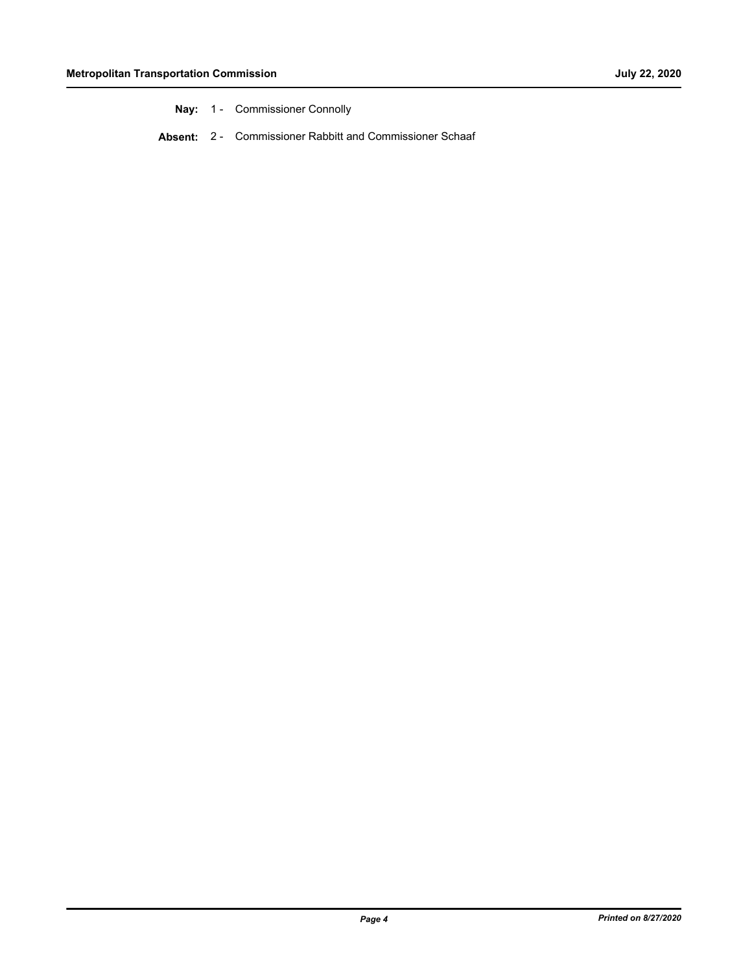| Nay: | <b>Commissioner Connolly</b> |
|------|------------------------------|
|------|------------------------------|

**Absent:** 2 - Commissioner Rabbitt and Commissioner Schaaf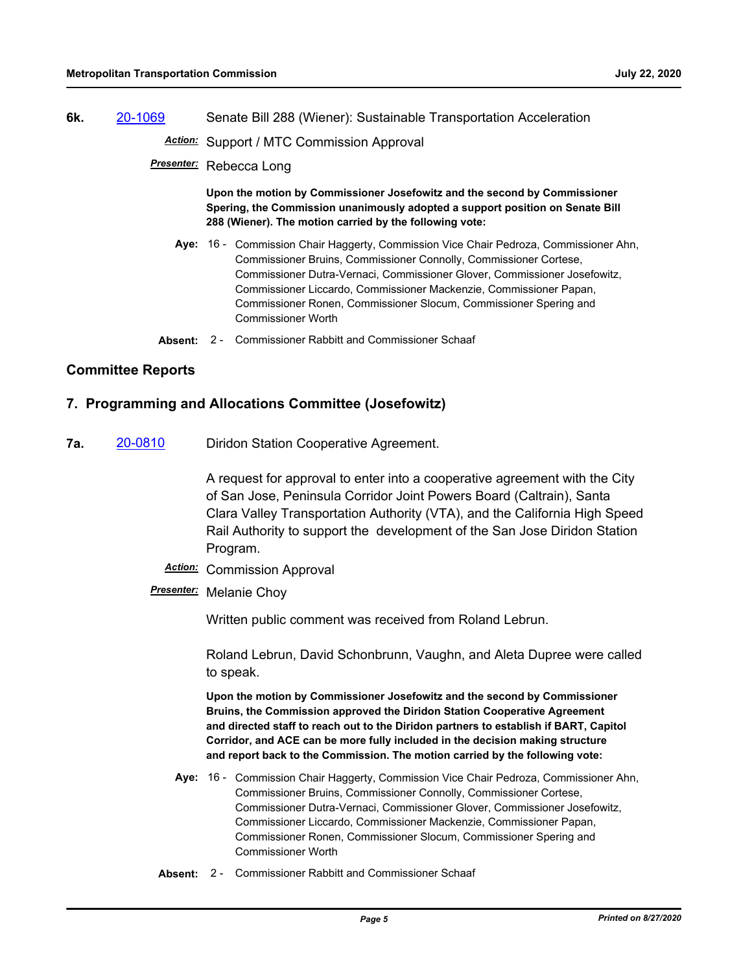**6k.** [20-1069](http://mtc.legistar.com/gateway.aspx?m=l&id=/matter.aspx?key=20933) Senate Bill 288 (Wiener): Sustainable Transportation Acceleration

*Action:* Support / MTC Commission Approval

*Presenter:* Rebecca Long

**Upon the motion by Commissioner Josefowitz and the second by Commissioner Spering, the Commission unanimously adopted a support position on Senate Bill 288 (Wiener). The motion carried by the following vote:**

- Aye: 16 Commission Chair Haggerty, Commission Vice Chair Pedroza, Commissioner Ahn, Commissioner Bruins, Commissioner Connolly, Commissioner Cortese, Commissioner Dutra-Vernaci, Commissioner Glover, Commissioner Josefowitz, Commissioner Liccardo, Commissioner Mackenzie, Commissioner Papan, Commissioner Ronen, Commissioner Slocum, Commissioner Spering and Commissioner Worth
- **Absent:** 2 Commissioner Rabbitt and Commissioner Schaaf

# **Committee Reports**

# **7. Programming and Allocations Committee (Josefowitz)**

**7a.** [20-0810](http://mtc.legistar.com/gateway.aspx?m=l&id=/matter.aspx?key=20674) Diridon Station Cooperative Agreement.

A request for approval to enter into a cooperative agreement with the City of San Jose, Peninsula Corridor Joint Powers Board (Caltrain), Santa Clara Valley Transportation Authority (VTA), and the California High Speed Rail Authority to support the development of the San Jose Diridon Station Program.

- *Action:* Commission Approval
- *Presenter:* Melanie Choy

Written public comment was received from Roland Lebrun.

Roland Lebrun, David Schonbrunn, Vaughn, and Aleta Dupree were called to speak.

**Upon the motion by Commissioner Josefowitz and the second by Commissioner Bruins, the Commission approved the Diridon Station Cooperative Agreement and directed staff to reach out to the Diridon partners to establish if BART, Capitol Corridor, and ACE can be more fully included in the decision making structure and report back to the Commission. The motion carried by the following vote:**

- Aye: 16 Commission Chair Haggerty, Commission Vice Chair Pedroza, Commissioner Ahn, Commissioner Bruins, Commissioner Connolly, Commissioner Cortese, Commissioner Dutra-Vernaci, Commissioner Glover, Commissioner Josefowitz, Commissioner Liccardo, Commissioner Mackenzie, Commissioner Papan, Commissioner Ronen, Commissioner Slocum, Commissioner Spering and Commissioner Worth
- **Absent:** 2 Commissioner Rabbitt and Commissioner Schaaf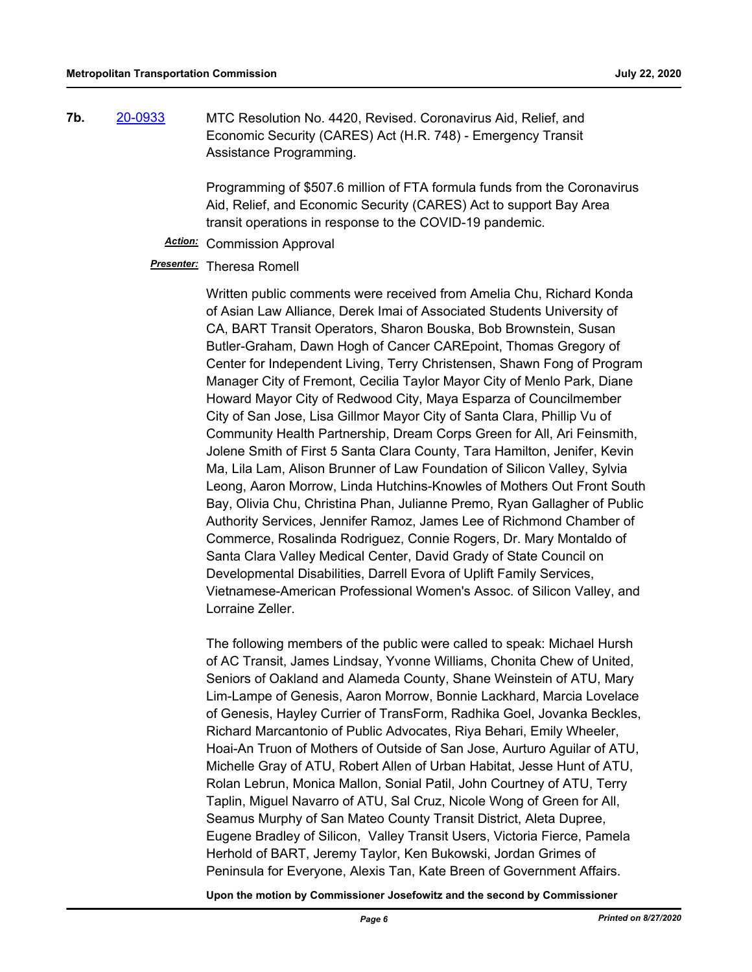**7b.** [20-0933](http://mtc.legistar.com/gateway.aspx?m=l&id=/matter.aspx?key=20797) MTC Resolution No. 4420, Revised. Coronavirus Aid, Relief, and Economic Security (CARES) Act (H.R. 748) - Emergency Transit Assistance Programming.

> Programming of \$507.6 million of FTA formula funds from the Coronavirus Aid, Relief, and Economic Security (CARES) Act to support Bay Area transit operations in response to the COVID-19 pandemic.

*Action:* Commission Approval

## *Presenter:* Theresa Romell

Written public comments were received from Amelia Chu, Richard Konda of Asian Law Alliance, Derek Imai of Associated Students University of CA, BART Transit Operators, Sharon Bouska, Bob Brownstein, Susan Butler-Graham, Dawn Hogh of Cancer CAREpoint, Thomas Gregory of Center for Independent Living, Terry Christensen, Shawn Fong of Program Manager City of Fremont, Cecilia Taylor Mayor City of Menlo Park, Diane Howard Mayor City of Redwood City, Maya Esparza of Councilmember City of San Jose, Lisa Gillmor Mayor City of Santa Clara, Phillip Vu of Community Health Partnership, Dream Corps Green for All, Ari Feinsmith, Jolene Smith of First 5 Santa Clara County, Tara Hamilton, Jenifer, Kevin Ma, Lila Lam, Alison Brunner of Law Foundation of Silicon Valley, Sylvia Leong, Aaron Morrow, Linda Hutchins-Knowles of Mothers Out Front South Bay, Olivia Chu, Christina Phan, Julianne Premo, Ryan Gallagher of Public Authority Services, Jennifer Ramoz, James Lee of Richmond Chamber of Commerce, Rosalinda Rodriguez, Connie Rogers, Dr. Mary Montaldo of Santa Clara Valley Medical Center, David Grady of State Council on Developmental Disabilities, Darrell Evora of Uplift Family Services, Vietnamese-American Professional Women's Assoc. of Silicon Valley, and Lorraine Zeller.

The following members of the public were called to speak: Michael Hursh of AC Transit, James Lindsay, Yvonne Williams, Chonita Chew of United, Seniors of Oakland and Alameda County, Shane Weinstein of ATU, Mary Lim-Lampe of Genesis, Aaron Morrow, Bonnie Lackhard, Marcia Lovelace of Genesis, Hayley Currier of TransForm, Radhika Goel, Jovanka Beckles, Richard Marcantonio of Public Advocates, Riya Behari, Emily Wheeler, Hoai-An Truon of Mothers of Outside of San Jose, Aurturo Aguilar of ATU, Michelle Gray of ATU, Robert Allen of Urban Habitat, Jesse Hunt of ATU, Rolan Lebrun, Monica Mallon, Sonial Patil, John Courtney of ATU, Terry Taplin, Miguel Navarro of ATU, Sal Cruz, Nicole Wong of Green for All, Seamus Murphy of San Mateo County Transit District, Aleta Dupree, Eugene Bradley of Silicon, Valley Transit Users, Victoria Fierce, Pamela Herhold of BART, Jeremy Taylor, Ken Bukowski, Jordan Grimes of Peninsula for Everyone, Alexis Tan, Kate Breen of Government Affairs.

**Upon the motion by Commissioner Josefowitz and the second by Commissioner**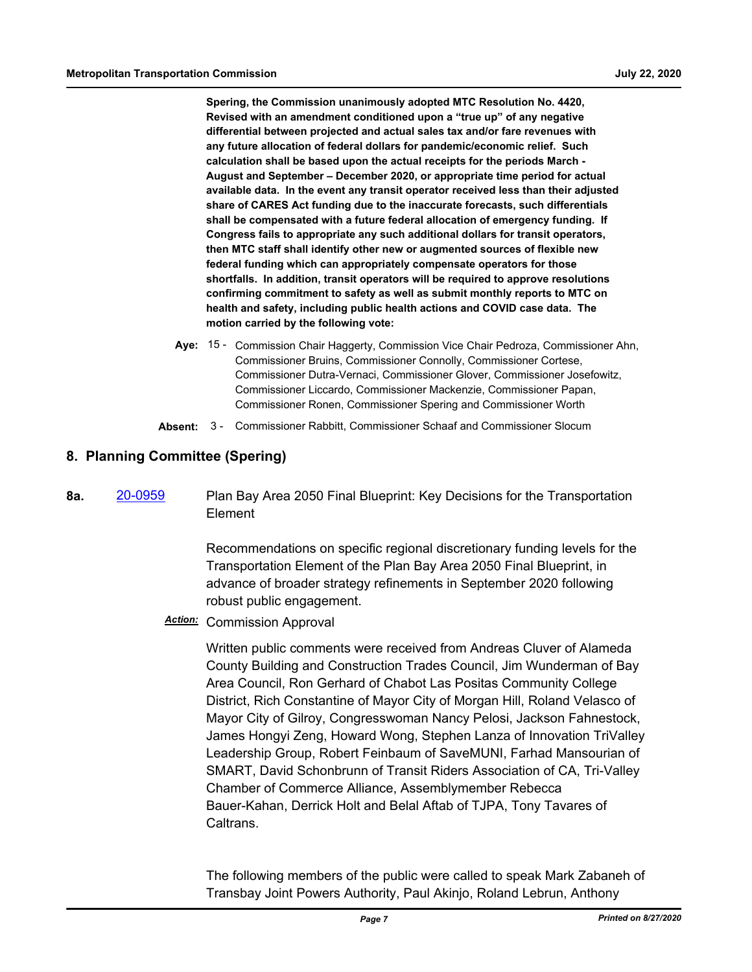**Spering, the Commission unanimously adopted MTC Resolution No. 4420, Revised with an amendment conditioned upon a "true up" of any negative differential between projected and actual sales tax and/or fare revenues with any future allocation of federal dollars for pandemic/economic relief. Such calculation shall be based upon the actual receipts for the periods March - August and September – December 2020, or appropriate time period for actual available data. In the event any transit operator received less than their adjusted share of CARES Act funding due to the inaccurate forecasts, such differentials shall be compensated with a future federal allocation of emergency funding. If Congress fails to appropriate any such additional dollars for transit operators, then MTC staff shall identify other new or augmented sources of flexible new federal funding which can appropriately compensate operators for those shortfalls. In addition, transit operators will be required to approve resolutions confirming commitment to safety as well as submit monthly reports to MTC on health and safety, including public health actions and COVID case data. The motion carried by the following vote:**

- Aye: 15 Commission Chair Haggerty, Commission Vice Chair Pedroza, Commissioner Ahn, Commissioner Bruins, Commissioner Connolly, Commissioner Cortese, Commissioner Dutra-Vernaci, Commissioner Glover, Commissioner Josefowitz, Commissioner Liccardo, Commissioner Mackenzie, Commissioner Papan, Commissioner Ronen, Commissioner Spering and Commissioner Worth
- **Absent:** 3 Commissioner Rabbitt, Commissioner Schaaf and Commissioner Slocum

# **8. Planning Committee (Spering)**

**8a.** [20-0959](http://mtc.legistar.com/gateway.aspx?m=l&id=/matter.aspx?key=20823) Plan Bay Area 2050 Final Blueprint: Key Decisions for the Transportation Element

> Recommendations on specific regional discretionary funding levels for the Transportation Element of the Plan Bay Area 2050 Final Blueprint, in advance of broader strategy refinements in September 2020 following robust public engagement.

*Action:* Commission Approval

Written public comments were received from Andreas Cluver of Alameda County Building and Construction Trades Council, Jim Wunderman of Bay Area Council, Ron Gerhard of Chabot Las Positas Community College District, Rich Constantine of Mayor City of Morgan Hill, Roland Velasco of Mayor City of Gilroy, Congresswoman Nancy Pelosi, Jackson Fahnestock, James Hongyi Zeng, Howard Wong, Stephen Lanza of Innovation TriValley Leadership Group, Robert Feinbaum of SaveMUNI, Farhad Mansourian of SMART, David Schonbrunn of Transit Riders Association of CA, Tri-Valley Chamber of Commerce Alliance, Assemblymember Rebecca Bauer-Kahan, Derrick Holt and Belal Aftab of TJPA, Tony Tavares of Caltrans.

The following members of the public were called to speak Mark Zabaneh of Transbay Joint Powers Authority, Paul Akinjo, Roland Lebrun, Anthony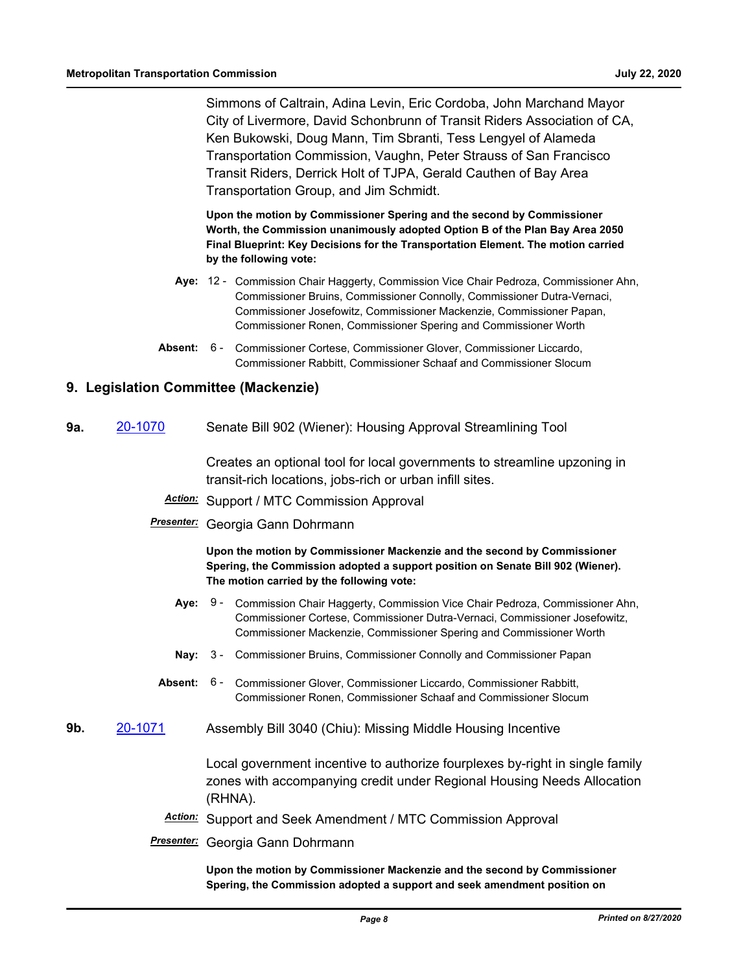Simmons of Caltrain, Adina Levin, Eric Cordoba, John Marchand Mayor City of Livermore, David Schonbrunn of Transit Riders Association of CA, Ken Bukowski, Doug Mann, Tim Sbranti, Tess Lengyel of Alameda Transportation Commission, Vaughn, Peter Strauss of San Francisco Transit Riders, Derrick Holt of TJPA, Gerald Cauthen of Bay Area Transportation Group, and Jim Schmidt.

**Upon the motion by Commissioner Spering and the second by Commissioner Worth, the Commission unanimously adopted Option B of the Plan Bay Area 2050 Final Blueprint: Key Decisions for the Transportation Element. The motion carried by the following vote:**

- Aye: 12 Commission Chair Haggerty, Commission Vice Chair Pedroza, Commissioner Ahn, Commissioner Bruins, Commissioner Connolly, Commissioner Dutra-Vernaci, Commissioner Josefowitz, Commissioner Mackenzie, Commissioner Papan, Commissioner Ronen, Commissioner Spering and Commissioner Worth
- Absent: 6 Commissioner Cortese, Commissioner Glover, Commissioner Liccardo, Commissioner Rabbitt, Commissioner Schaaf and Commissioner Slocum

# **9. Legislation Committee (Mackenzie)**

**9a.** [20-1070](http://mtc.legistar.com/gateway.aspx?m=l&id=/matter.aspx?key=20934) Senate Bill 902 (Wiener): Housing Approval Streamlining Tool

Creates an optional tool for local governments to streamline upzoning in transit-rich locations, jobs-rich or urban infill sites.

- *Action:* Support / MTC Commission Approval
- *Presenter:* Georgia Gann Dohrmann

**Upon the motion by Commissioner Mackenzie and the second by Commissioner Spering, the Commission adopted a support position on Senate Bill 902 (Wiener). The motion carried by the following vote:**

- Aye: 9 Commission Chair Haggerty, Commission Vice Chair Pedroza, Commissioner Ahn, Commissioner Cortese, Commissioner Dutra-Vernaci, Commissioner Josefowitz, Commissioner Mackenzie, Commissioner Spering and Commissioner Worth
- **Nay:** 3 Commissioner Bruins, Commissioner Connolly and Commissioner Papan
- Absent: 6 Commissioner Glover, Commissioner Liccardo, Commissioner Rabbitt, Commissioner Ronen, Commissioner Schaaf and Commissioner Slocum
- **9b.** [20-1071](http://mtc.legistar.com/gateway.aspx?m=l&id=/matter.aspx?key=20935) Assembly Bill 3040 (Chiu): Missing Middle Housing Incentive

Local government incentive to authorize fourplexes by-right in single family zones with accompanying credit under Regional Housing Needs Allocation (RHNA).

- *Action:* Support and Seek Amendment / MTC Commission Approval
- *Presenter:* Georgia Gann Dohrmann

**Upon the motion by Commissioner Mackenzie and the second by Commissioner Spering, the Commission adopted a support and seek amendment position on**